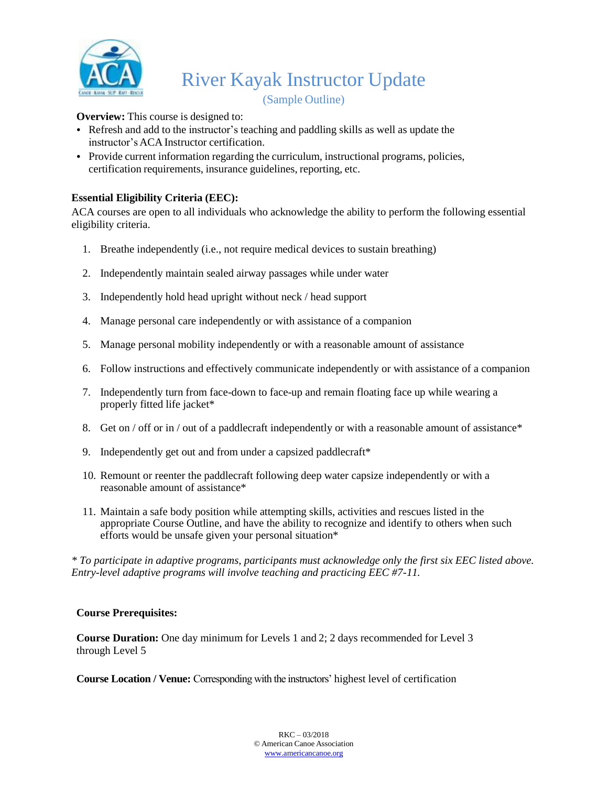

(Sample Outline)

### **Overview:** This course is designed to:

- Refresh and add to the instructor's teaching and paddling skills as well as update the instructor's ACA Instructor certification.
- Provide current information regarding the curriculum, instructional programs, policies, certification requirements, insurance guidelines, reporting, etc.

# **Essential Eligibility Criteria (EEC):**

ACA courses are open to all individuals who acknowledge the ability to perform the following essential eligibility criteria.

- 1. Breathe independently (i.e., not require medical devices to sustain breathing)
- 2. Independently maintain sealed airway passages while under water
- 3. Independently hold head upright without neck / head support
- 4. Manage personal care independently or with assistance of a companion
- 5. Manage personal mobility independently or with a reasonable amount of assistance
- 6. Follow instructions and effectively communicate independently or with assistance of a companion
- 7. Independently turn from face-down to face-up and remain floating face up while wearing a properly fitted life jacket\*
- 8. Get on / off or in / out of a paddlecraft independently or with a reasonable amount of assistance\*
- 9. Independently get out and from under a capsized paddlecraft\*
- 10. Remount or reenter the paddlecraft following deep water capsize independently or with a reasonable amount of assistance\*
- 11. Maintain a safe body position while attempting skills, activities and rescues listed in the appropriate Course Outline, and have the ability to recognize and identify to others when such efforts would be unsafe given your personal situation\*

*\* To participate in adaptive programs, participants must acknowledge only the first six EEC listed above. Entry-level adaptive programs will involve teaching and practicing EEC #7-11.*

### **Course Prerequisites:**

**Course Duration:** One day minimum for Levels 1 and 2; 2 days recommended for Level 3 through Level 5

**Course Location / Venue:** Corresponding with the instructors' highest level of certification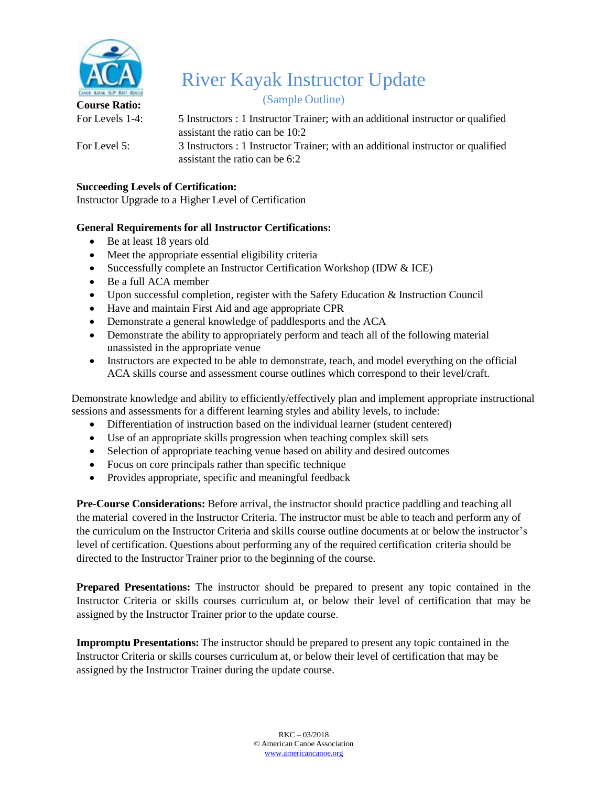

(Sample Outline)

**Course Ratio:** 

For Levels 1-4: 5 Instructors : 1 Instructor Trainer; with an additional instructor or qualified assistant the ratio can be 10:2

For Level 5: 3 Instructors : 1 Instructor Trainer; with an additional instructor or qualified assistant the ratio can be 6:2

# **Succeeding Levels of Certification:**

Instructor Upgrade to a Higher Level of Certification

# **General Requirements for all Instructor Certifications:**

- Be at least 18 years old
- Meet the appropriate essential eligibility criteria
- Successfully complete an Instructor Certification Workshop (IDW & ICE)
- Be a full ACA member
- Upon successful completion, register with the Safety Education & Instruction Council
- Have and maintain First Aid and age appropriate CPR
- Demonstrate a general knowledge of paddlesports and the ACA
- Demonstrate the ability to appropriately perform and teach all of the following material unassisted in the appropriate venue
- Instructors are expected to be able to demonstrate, teach, and model everything on the official ACA skills course and assessment course outlines which correspond to their level/craft.

Demonstrate knowledge and ability to efficiently/effectively plan and implement appropriate instructional sessions and assessments for a different learning styles and ability levels, to include:

- Differentiation of instruction based on the individual learner (student centered)
- Use of an appropriate skills progression when teaching complex skill sets
- Selection of appropriate teaching venue based on ability and desired outcomes
- Focus on core principals rather than specific technique
- Provides appropriate, specific and meaningful feedback

**Pre-Course Considerations:** Before arrival, the instructor should practice paddling and teaching all the material covered in the Instructor Criteria. The instructor must be able to teach and perform any of the curriculum on the Instructor Criteria and skills course outline documents at or below the instructor's level of certification. Questions about performing any of the required certification criteria should be directed to the Instructor Trainer prior to the beginning of the course.

**Prepared Presentations:** The instructor should be prepared to present any topic contained in the Instructor Criteria or skills courses curriculum at, or below their level of certification that may be assigned by the Instructor Trainer prior to the update course.

**Impromptu Presentations:** The instructor should be prepared to present any topic contained in the Instructor Criteria or skills courses curriculum at, or below their level of certification that may be assigned by the Instructor Trainer during the update course.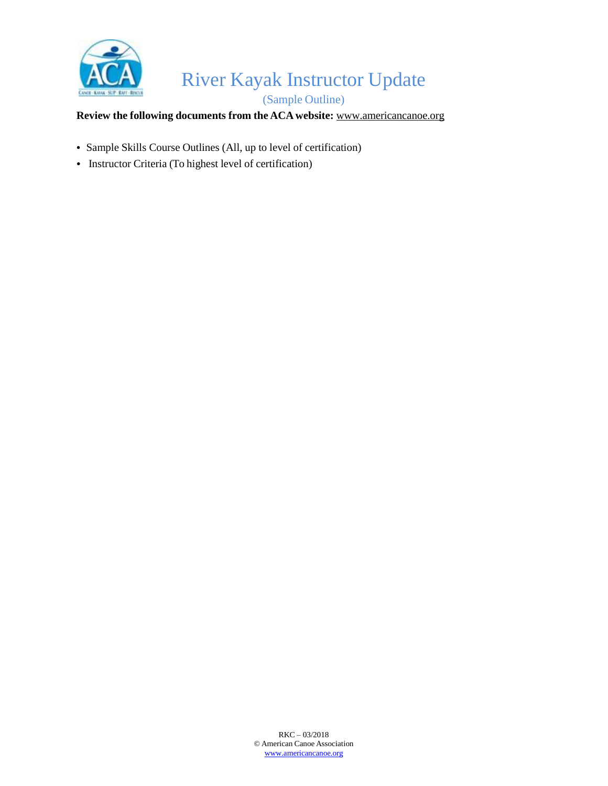

(Sample Outline)

# **Review the following documents from the ACA website:** [www.americancanoe.org](http://www.americancanoe.org/)

- Sample Skills Course Outlines (All, up to level of certification)
- Instructor Criteria (To highest level of certification)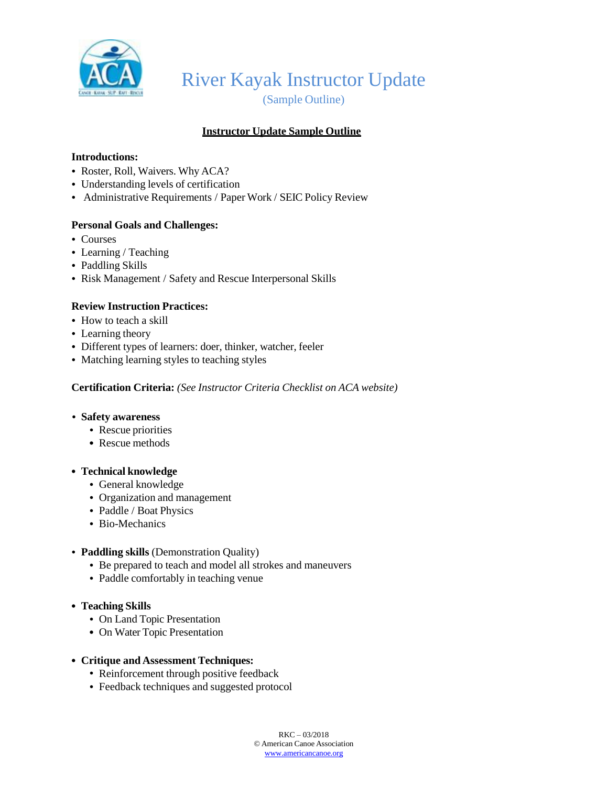

(Sample Outline)

# **Instructor Update Sample Outline**

### **Introductions:**

- Roster, Roll, Waivers. Why ACA?
- Understanding levels of certification
- Administrative Requirements / Paper Work / SEIC Policy Review

### **Personal Goals and Challenges:**

- Courses
- Learning / Teaching
- Paddling Skills
- Risk Management / Safety and Rescue Interpersonal Skills

### **Review Instruction Practices:**

- How to teach a skill
- Learning theory
- Different types of learners: doer, thinker, watcher, feeler
- Matching learning styles to teaching styles

#### **Certification Criteria:** *(See Instructor Criteria Checklist on ACA website)*

#### *•* **Safety awareness**

- Rescue priorities
- **•** Rescue methods

#### **• Technical knowledge**

- General knowledge
- Organization and management
- Paddle / Boat Physics
- Bio-Mechanics

#### • **Paddling skills** (Demonstration Quality)

- Be prepared to teach and model all strokes and maneuvers
- Paddle comfortably in teaching venue
- **• Teaching Skills**
	- On Land Topic Presentation
	- **•** On Water Topic Presentation

#### **• Critique and Assessment Techniques:**

- Reinforcement through positive feedback
- Feedback techniques and suggested protocol